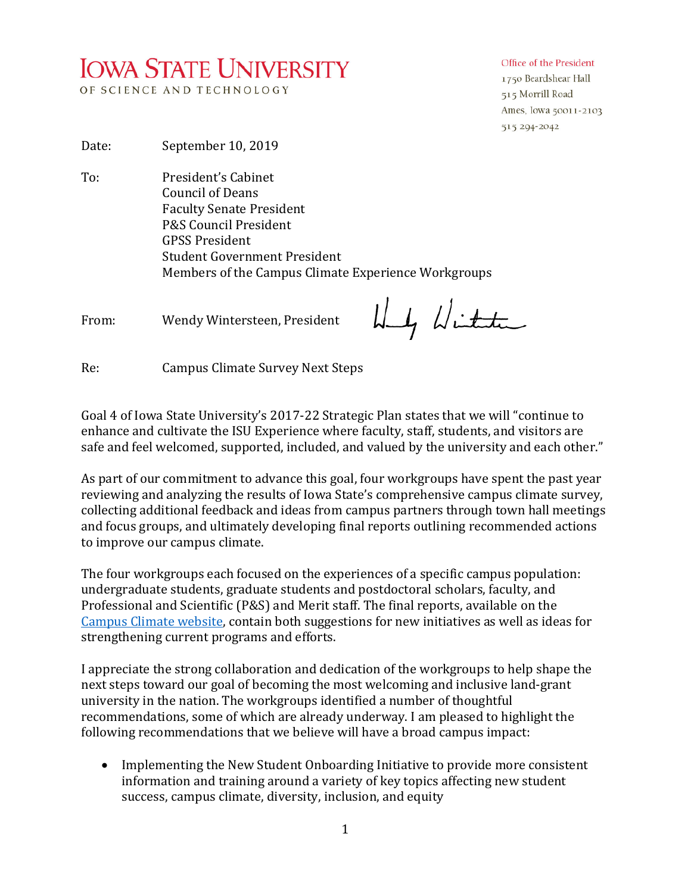## **IOWA STATE UNIVERSITY** OF SCIENCE AND TECHNOLOGY

## Office of the President

1750 Beardshear Hall 515 Morrill Road Ames, Iowa 50011-2103 515 294-2042

Date: September 10, 2019

To: President's Cabinet Council of Deans Faculty Senate President P&S Council President GPSS President Student Government President Members of the Campus Climate Experience Workgroups

From: Wendy Wintersteen, President

Wy With

Re: Campus Climate Survey Next Steps

Goal 4 of Iowa State University's 2017-22 Strategic Plan states that we will "continue to enhance and cultivate the ISU Experience where faculty, staff, students, and visitors are safe and feel welcomed, supported, included, and valued by the university and each other."

As part of our commitment to advance this goal, four workgroups have spent the past year reviewing and analyzing the results of Iowa State's comprehensive campus climate survey, collecting additional feedback and ideas from campus partners through town hall meetings and focus groups, and ultimately developing final reports outlining recommended actions to improve our campus climate.

The four workgroups each focused on the experiences of a specific campus population: undergraduate students, graduate students and postdoctoral scholars, faculty, and Professional and Scientific (P&S) and Merit staff. The final reports, available on the [Campus Climate website,](https://www.campusclimate.iastate.edu/survey/implementation) contain both suggestions for new initiatives as well as ideas for strengthening current programs and efforts.

I appreciate the strong collaboration and dedication of the workgroups to help shape the next steps toward our goal of becoming the most welcoming and inclusive land-grant university in the nation. The workgroups identified a number of thoughtful recommendations, some of which are already underway. I am pleased to highlight the following recommendations that we believe will have a broad campus impact:

• Implementing the New Student Onboarding Initiative to provide more consistent information and training around a variety of key topics affecting new student success, campus climate, diversity, inclusion, and equity